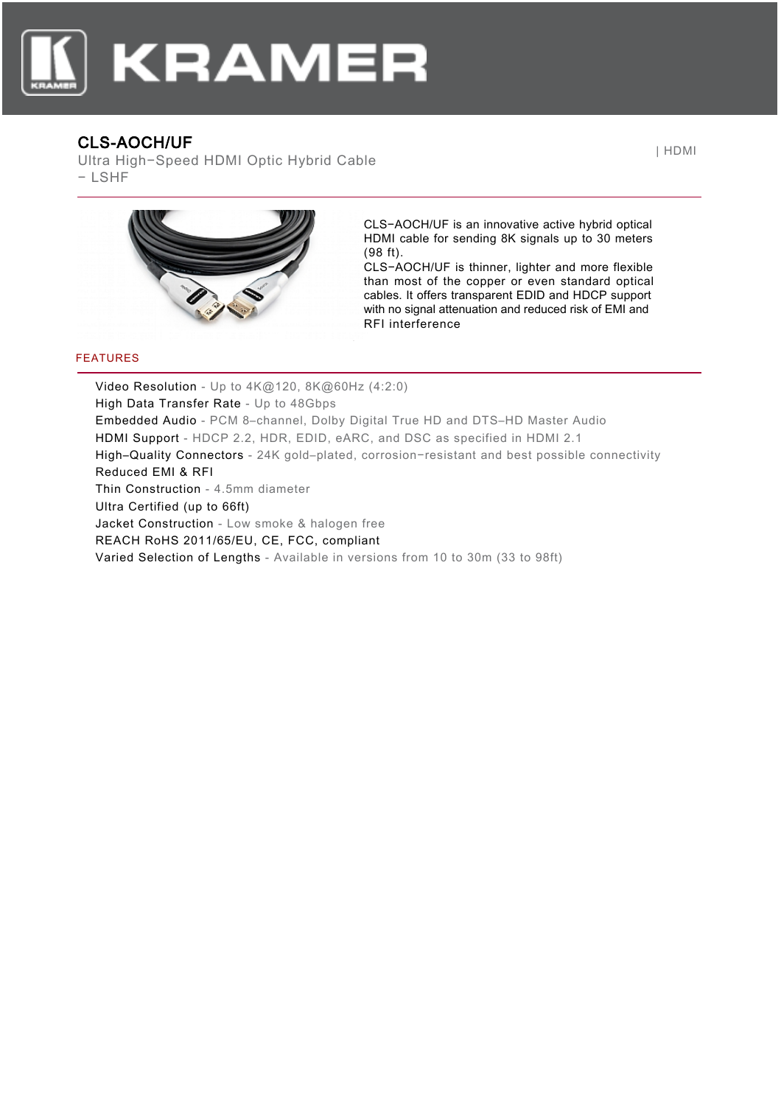

## CLS-AOCH/UF

Ultra High−Speed HDMI Optic Hybrid Cable − LSHF

| HDMI



CLS−AOCH/UF is an innovative active hybrid optical HDMI cable for sending 8K signals up to 30 meters (98 ft).

CLS−AOCH/UF is thinner, lighter and more flexible than most of the copper or even standard optical cables. It offers transparent EDID and HDCP support with no signal attenuation and reduced risk of EMI and RFI interference

## FEATURES

Video Resolution - Up to 4K@120, 8K@60Hz (4:2:0) High Data Transfer Rate - Up to 48Gbps Embedded Audio - PCM 8–channel, Dolby Digital True HD and DTS–HD Master Audio HDMI Support - HDCP 2.2, HDR, EDID, eARC, and DSC as specified in HDMI 2.1 High–Quality Connectors - 24K gold–plated, corrosion−resistant and best possible connectivity Reduced EMI & RFI Thin Construction - 4.5mm diameter Ultra Certified (up to 66ft) Jacket Construction - Low smoke & halogen free REACH RoHS 2011/65/EU, CE, FCC, compliant Varied Selection of Lengths - Available in versions from 10 to 30m (33 to 98ft)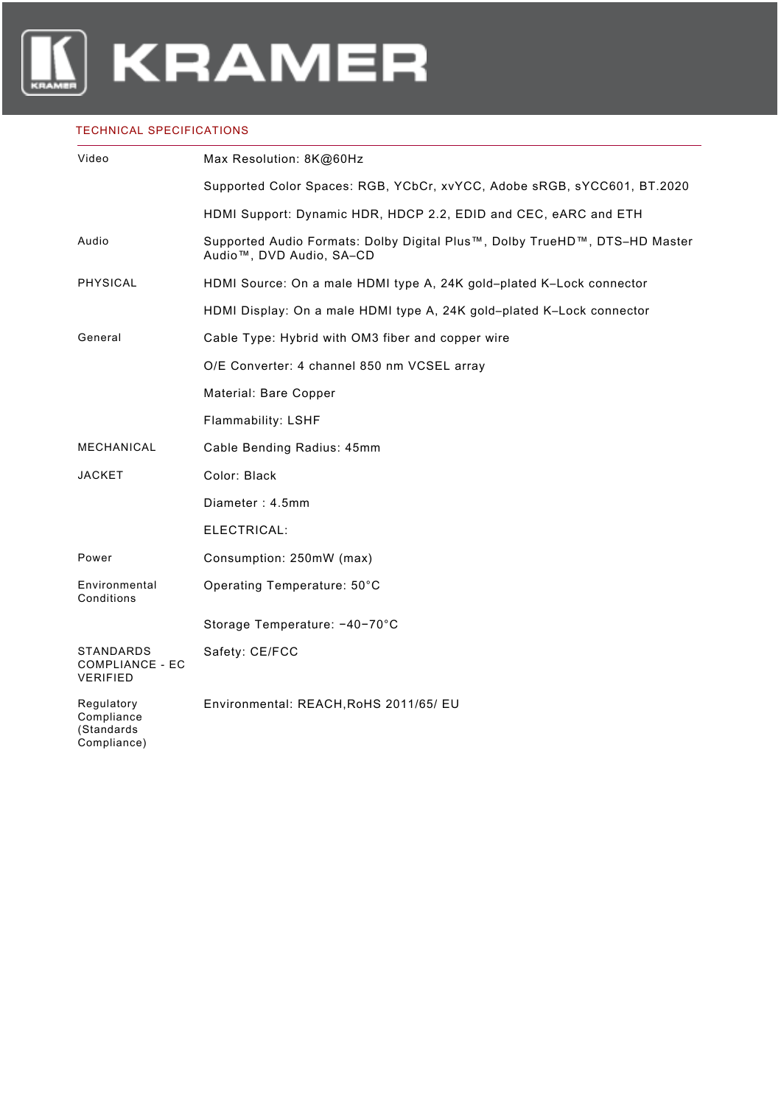

## TECHNICAL SPECIFICATIONS

| Video                                                         | Max Resolution: 8K@60Hz                                                                                             |
|---------------------------------------------------------------|---------------------------------------------------------------------------------------------------------------------|
|                                                               | Supported Color Spaces: RGB, YCbCr, xvYCC, Adobe sRGB, sYCC601, BT.2020                                             |
|                                                               | HDMI Support: Dynamic HDR, HDCP 2.2, EDID and CEC, eARC and ETH                                                     |
| Audio                                                         | Supported Audio Formats: Dolby Digital Plus™, Dolby TrueHD™, DTS-HD Master<br>Audio <sup>™</sup> , DVD Audio, SA-CD |
| <b>PHYSICAL</b>                                               | HDMI Source: On a male HDMI type A, 24K gold-plated K-Lock connector                                                |
|                                                               | HDMI Display: On a male HDMI type A, 24K gold-plated K-Lock connector                                               |
| General                                                       | Cable Type: Hybrid with OM3 fiber and copper wire                                                                   |
|                                                               | O/E Converter: 4 channel 850 nm VCSEL array                                                                         |
|                                                               | Material: Bare Copper                                                                                               |
|                                                               | Flammability: LSHF                                                                                                  |
| MECHANICAL                                                    | Cable Bending Radius: 45mm                                                                                          |
| <b>JACKET</b>                                                 | Color: Black                                                                                                        |
|                                                               | Diameter: 4.5mm                                                                                                     |
|                                                               | ELECTRICAL:                                                                                                         |
| Power                                                         | Consumption: 250mW (max)                                                                                            |
| Environmental<br>Conditions                                   | Operating Temperature: 50°C                                                                                         |
|                                                               | Storage Temperature: -40-70°C                                                                                       |
| <b>STANDARDS</b><br><b>COMPLIANCE - EC</b><br><b>VERIFIED</b> | Safety: CE/FCC                                                                                                      |
| Regulatory<br>Compliance<br>(Standards<br>Compliance)         | Environmental: REACH, RoHS 2011/65/ EU                                                                              |